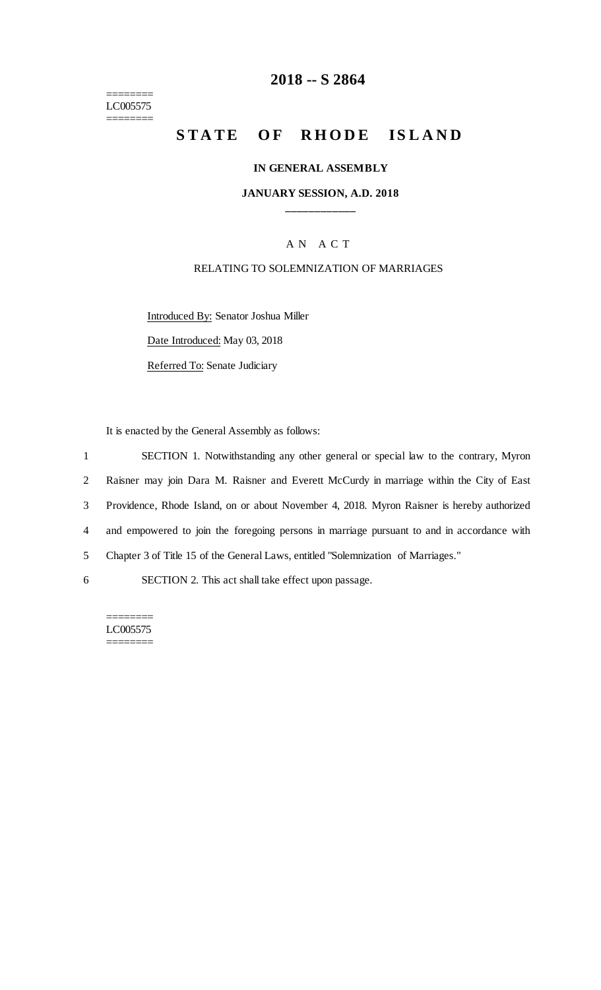======== LC005575 ========

### **2018 -- S 2864**

# **STATE OF RHODE ISLAND**

#### **IN GENERAL ASSEMBLY**

### **JANUARY SESSION, A.D. 2018 \_\_\_\_\_\_\_\_\_\_\_\_**

### A N A C T

#### RELATING TO SOLEMNIZATION OF MARRIAGES

Introduced By: Senator Joshua Miller Date Introduced: May 03, 2018

Referred To: Senate Judiciary

It is enacted by the General Assembly as follows:

 SECTION 1. Notwithstanding any other general or special law to the contrary, Myron Raisner may join Dara M. Raisner and Everett McCurdy in marriage within the City of East Providence, Rhode Island, on or about November 4, 2018. Myron Raisner is hereby authorized and empowered to join the foregoing persons in marriage pursuant to and in accordance with Chapter 3 of Title 15 of the General Laws, entitled "Solemnization of Marriages." SECTION 2. This act shall take effect upon passage.

======== LC005575 ========